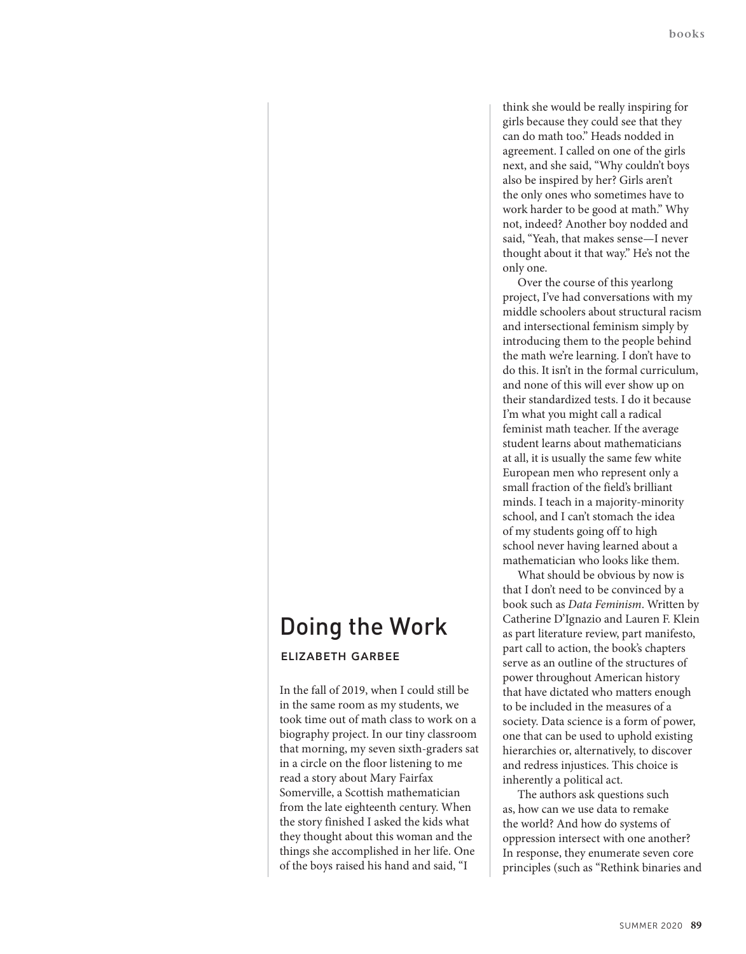## think she would be really inspiring for girls because they could see that they can do math too." Heads nodded in agreement. I called on one of the girls next, and she said, "Why couldn't boys also be inspired by her? Girls aren't the only ones who sometimes have to work harder to be good at math." Why not, indeed? Another boy nodded and said, "Yeah, that makes sense—I never thought about it that way." He's not the only one.

Over the course of this yearlong project, I've had conversations with my middle schoolers about structural racism and intersectional feminism simply by introducing them to the people behind the math we're learning. I don't have to do this. It isn't in the formal curriculum, and none of this will ever show up on their standardized tests. I do it because I'm what you might call a radical feminist math teacher. If the average student learns about mathematicians at all, it is usually the same few white European men who represent only a small fraction of the field's brilliant minds. I teach in a majority-minority school, and I can't stomach the idea of my students going off to high school never having learned about a mathematician who looks like them.

What should be obvious by now is that I don't need to be convinced by a book such as *Data Feminism*. Written by Catherine D'Ignazio and Lauren F. Klein as part literature review, part manifesto, part call to action, the book's chapters serve as an outline of the structures of power throughout American history that have dictated who matters enough to be included in the measures of a society. Data science is a form of power, one that can be used to uphold existing hierarchies or, alternatively, to discover and redress injustices. This choice is inherently a political act.

The authors ask questions such as, how can we use data to remake the world? And how do systems of oppression intersect with one another? In response, they enumerate seven core principles (such as "Rethink binaries and

## Doing the Work **ELIZABETH GARBEE**

In the fall of 2019, when I could still be in the same room as my students, we took time out of math class to work on a biography project. In our tiny classroom that morning, my seven sixth-graders sat in a circle on the floor listening to me read a story about Mary Fairfax Somerville, a Scottish mathematician from the late eighteenth century. When the story finished I asked the kids what they thought about this woman and the things she accomplished in her life. One of the boys raised his hand and said, "I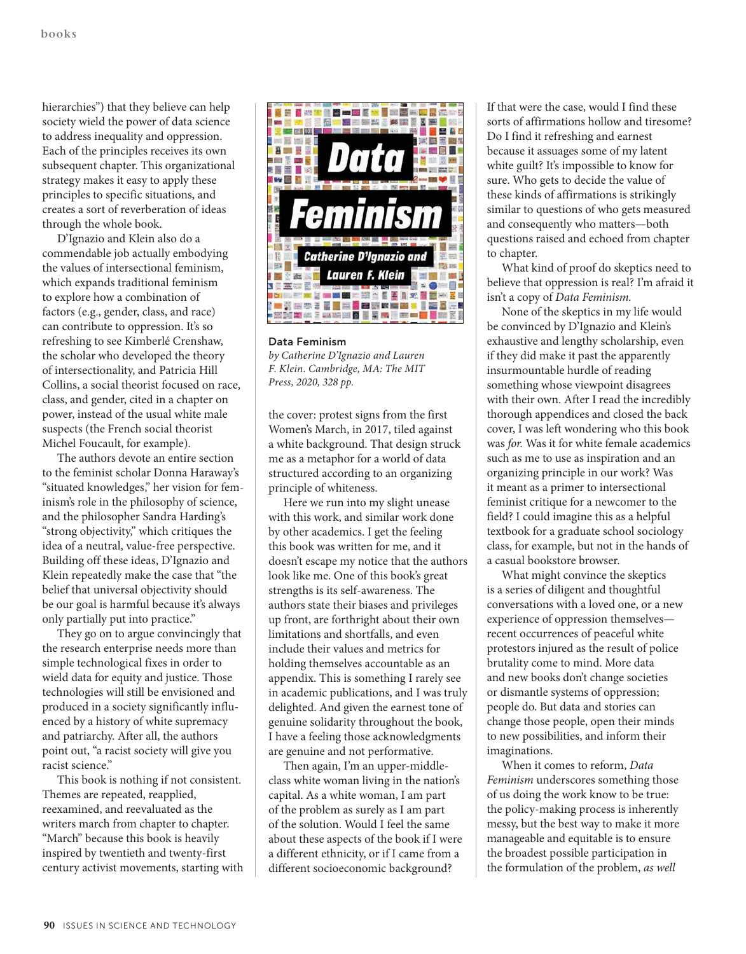hierarchies") that they believe can help society wield the power of data science to address inequality and oppression. Each of the principles receives its own subsequent chapter. This organizational strategy makes it easy to apply these principles to specific situations, and creates a sort of reverberation of ideas through the whole book.

D'Ignazio and Klein also do a commendable job actually embodying the values of intersectional feminism, which expands traditional feminism to explore how a combination of factors (e.g., gender, class, and race) can contribute to oppression. It's so refreshing to see Kimberlé Crenshaw, the scholar who developed the theory of intersectionality, and Patricia Hill Collins, a social theorist focused on race, class, and gender, cited in a chapter on power, instead of the usual white male suspects (the French social theorist Michel Foucault, for example).

The authors devote an entire section to the feminist scholar Donna Haraway's "situated knowledges," her vision for feminism's role in the philosophy of science, and the philosopher Sandra Harding's "strong objectivity," which critiques the idea of a neutral, value-free perspective. Building off these ideas, D'Ignazio and Klein repeatedly make the case that "the belief that universal objectivity should be our goal is harmful because it's always only partially put into practice."

They go on to argue convincingly that the research enterprise needs more than simple technological fixes in order to wield data for equity and justice. Those technologies will still be envisioned and produced in a society significantly influenced by a history of white supremacy and patriarchy. After all, the authors point out, "a racist society will give you racist science."

This book is nothing if not consistent. Themes are repeated, reapplied, reexamined, and reevaluated as the writers march from chapter to chapter. "March" because this book is heavily inspired by twentieth and twenty-first century activist movements, starting with



**Data Feminism** *by Catherine D'Ignazio and Lauren F. Klein. Cambridge, MA: The MIT Press, 2020, 328 pp.*

the cover: protest signs from the first Women's March, in 2017, tiled against a white background. That design struck me as a metaphor for a world of data structured according to an organizing principle of whiteness.

Here we run into my slight unease with this work, and similar work done by other academics. I get the feeling this book was written for me, and it doesn't escape my notice that the authors look like me. One of this book's great strengths is its self-awareness. The authors state their biases and privileges up front, are forthright about their own limitations and shortfalls, and even include their values and metrics for holding themselves accountable as an appendix. This is something I rarely see in academic publications, and I was truly delighted. And given the earnest tone of genuine solidarity throughout the book, I have a feeling those acknowledgments are genuine and not performative.

Then again, I'm an upper-middleclass white woman living in the nation's capital. As a white woman, I am part of the problem as surely as I am part of the solution. Would I feel the same about these aspects of the book if I were a different ethnicity, or if I came from a different socioeconomic background?

If that were the case, would I find these sorts of affirmations hollow and tiresome? Do I find it refreshing and earnest because it assuages some of my latent white guilt? It's impossible to know for sure. Who gets to decide the value of these kinds of affirmations is strikingly similar to questions of who gets measured and consequently who matters—both questions raised and echoed from chapter to chapter.

What kind of proof do skeptics need to believe that oppression is real? I'm afraid it isn't a copy of *Data Feminism.*

None of the skeptics in my life would be convinced by D'Ignazio and Klein's exhaustive and lengthy scholarship, even if they did make it past the apparently insurmountable hurdle of reading something whose viewpoint disagrees with their own. After I read the incredibly thorough appendices and closed the back cover, I was left wondering who this book was *for.* Was it for white female academics such as me to use as inspiration and an organizing principle in our work? Was it meant as a primer to intersectional feminist critique for a newcomer to the field? I could imagine this as a helpful textbook for a graduate school sociology class, for example, but not in the hands of a casual bookstore browser.

What might convince the skeptics is a series of diligent and thoughtful conversations with a loved one, or a new experience of oppression themselves recent occurrences of peaceful white protestors injured as the result of police brutality come to mind. More data and new books don't change societies or dismantle systems of oppression; people do. But data and stories can change those people, open their minds to new possibilities, and inform their imaginations.

When it comes to reform, *Data Feminism* underscores something those of us doing the work know to be true: the policy-making process is inherently messy, but the best way to make it more manageable and equitable is to ensure the broadest possible participation in the formulation of the problem, *as well*